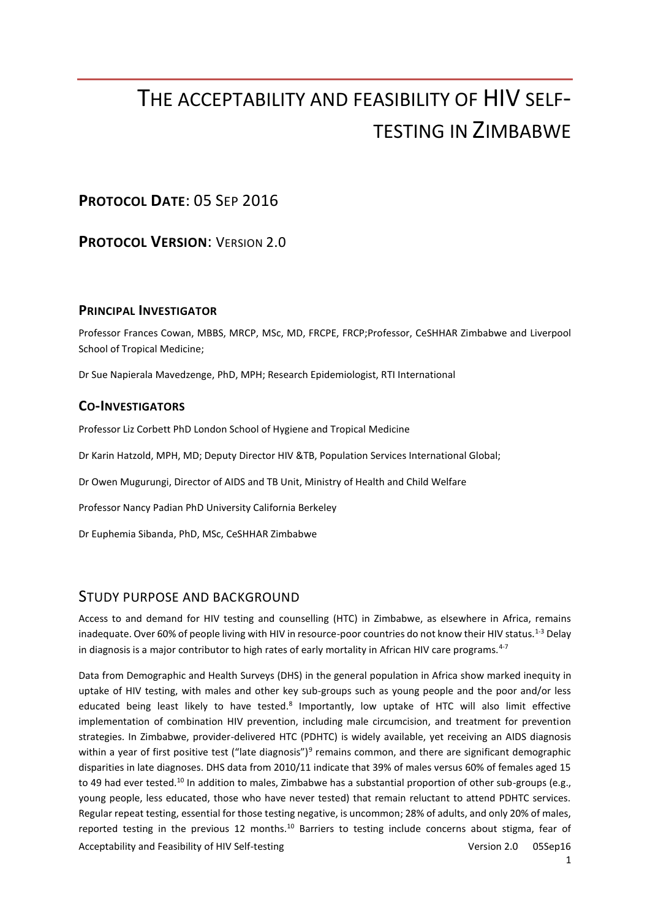# THE ACCEPTABILITY AND FEASIBILITY OF HIV SELF-TESTING IN ZIMBABWE

# **PROTOCOL DATE**: 05 SEP 2016

**PROTOCOL VERSION**: VERSION 2.0

# **PRINCIPAL INVESTIGATOR**

Professor Frances Cowan, MBBS, MRCP, MSc, MD, FRCPE, FRCP;Professor, CeSHHAR Zimbabwe and Liverpool School of Tropical Medicine;

Dr Sue Napierala Mavedzenge, PhD, MPH; Research Epidemiologist, RTI International

# **CO-INVESTIGATORS**

Professor Liz Corbett PhD London School of Hygiene and Tropical Medicine

Dr Karin Hatzold, MPH, MD; Deputy Director HIV &TB, Population Services International Global;

Dr Owen Mugurungi, Director of AIDS and TB Unit, Ministry of Health and Child Welfare

Professor Nancy Padian PhD University California Berkeley

Dr Euphemia Sibanda, PhD, MSc, CeSHHAR Zimbabwe

# STUDY PURPOSE AND BACKGROUND

Access to and demand for HIV testing and counselling (HTC) in Zimbabwe, as elsewhere in Africa, remains inadequate. Over 60% of people living with HIV in resource-poor countries do not know their HIV status.<sup>[1-3](#page-20-0)</sup> Delay in diagnosis is a major contributor to high rates of early mortality in African HIV care programs. $4-7$ 

Acceptability and Feasibility of HIV Self-testing Version 2.0 05Sep16 Data from Demographic and Health Surveys (DHS) in the general population in Africa show marked inequity in uptake of HIV testing, with males and other key sub-groups such as young people and the poor and/or less educated being least likely to have tested[.](#page-20-2)<sup>8</sup> Importantly, low uptake of HTC will also limit effective implementation of combination HIV prevention, including male circumcision, and treatment for prevention strategies. In Zimbabwe, provider-delivered HTC (PDHTC) is widely available, yet receiving an AIDS diagnosis within a year of first positive test ("late diagnosis")<sup>[9](#page-20-3)</sup> remains common, and there are significant demographic disparities in late diagnoses. DHS data from 2010/11 indicate that 39% of males versus 60% of females aged 15 to 49 had ever tested.<sup>[10](#page-20-4)</sup> In addition to males, Zimbabwe has a substantial proportion of other sub-groups (e.g., young people, less educated, those who have never tested) that remain reluctant to attend PDHTC services. Regular repeat testing, essential for those testing negative, is uncommon; 28% of adults, and only 20% of males, reported testing in the previous 12 months.<sup>[10](#page-20-4)</sup> Barriers to testing include concerns about stigma, fear of

1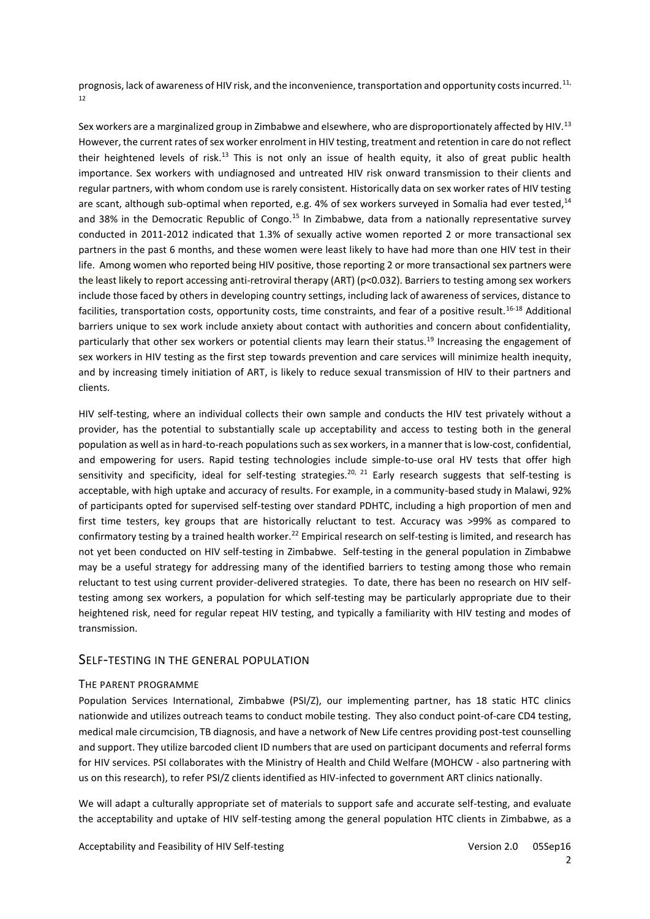prognosis, lack of awareness of HIV risk, and the inconvenience, transportation and opportunity costs incurred.<sup>11,</sup> [12](#page-21-1)

Sex workers are a marginalized group in Zimbabwe and elsewhere, who are disproportionately affected by HIV.<sup>[13](#page-21-2)</sup> However, the current rates of sex worker enrolment in HIV testing, treatment and retention in care do not reflect their heightened levels of risk.[13](#page-21-2) This is not only an issue of health equity, it also of great public health importance. Sex workers with undiagnosed and untreated HIV risk onward transmission to their clients and regular partners, with whom condom use is rarely consistent. Historically data on sex worker rates of HIV testing are scant, although sub-optimal when reported, e.g. 4% of sex workers surveyed in Somalia had ever tested,<sup>[14](#page-21-3)</sup> and 38% in the Democratic Republic of Congo.<sup>[15](#page-21-4)</sup> In Zimbabwe, data from a nationally representative survey conducted in 2011-2012 indicated that 1.3% of sexually active women reported 2 or more transactional sex partners in the past 6 months, and these women were least likely to have had more than one HIV test in their life. Among women who reported being HIV positive, those reporting 2 or more transactional sex partners were the least likely to report accessing anti-retroviral therapy (ART) (p<0.032). Barriers to testing among sex workers include those faced by others in developing country settings, including lack of awareness of services, distance to facilities, transportation costs, opportunity costs, time constraints, and fear of a positive result.[16-18](#page-21-5) Additional barriers unique to sex work include anxiety about contact with authorities and concern about confidentiality, particularly that other sex workers or potential clients may learn their status.[19](#page-21-6) Increasing the engagement of sex workers in HIV testing as the first step towards prevention and care services will minimize health inequity, and by increasing timely initiation of ART, is likely to reduce sexual transmission of HIV to their partners and clients.

HIV self-testing, where an individual collects their own sample and conducts the HIV test privately without a provider, has the potential to substantially scale up acceptability and access to testing both in the general population as well as in hard-to-reach populations such as sex workers, in a manner that is low-cost, confidential, and empowering for users. Rapid testing technologies include simple-to-use oral HV tests that offer high sensitivity and specificity, ideal for self-testing strategies.<sup>[20,](#page-21-7) [21](#page-21-8)</sup> Early research suggests that self-testing is acceptable, with high uptake and accuracy of results. For example, in a community-based study in Malawi, 92% of participants opted for supervised self-testing over standard PDHTC, including a high proportion of men and first time testers, key groups that are historically reluctant to test. Accuracy was >99% as compared to confirmatory testing by a trained health worker.<sup>[22](#page-21-9)</sup> Empirical research on self-testing is limited, and research has not yet been conducted on HIV self-testing in Zimbabwe. Self-testing in the general population in Zimbabwe may be a useful strategy for addressing many of the identified barriers to testing among those who remain reluctant to test using current provider-delivered strategies. To date, there has been no research on HIV selftesting among sex workers, a population for which self-testing may be particularly appropriate due to their heightened risk, need for regular repeat HIV testing, and typically a familiarity with HIV testing and modes of transmission.

#### SELF-TESTING IN THE GENERAL POPULATION

#### THE PARENT PROGRAMME

Population Services International, Zimbabwe (PSI/Z), our implementing partner, has 18 static HTC clinics nationwide and utilizes outreach teams to conduct mobile testing. They also conduct point-of-care CD4 testing, medical male circumcision, TB diagnosis, and have a network of New Life centres providing post-test counselling and support. They utilize barcoded client ID numbers that are used on participant documents and referral forms for HIV services. PSI collaborates with the Ministry of Health and Child Welfare (MOHCW - also partnering with us on this research), to refer PSI/Z clients identified as HIV-infected to government ART clinics nationally.

We will adapt a culturally appropriate set of materials to support safe and accurate self-testing, and evaluate the acceptability and uptake of HIV self-testing among the general population HTC clients in Zimbabwe, as a

2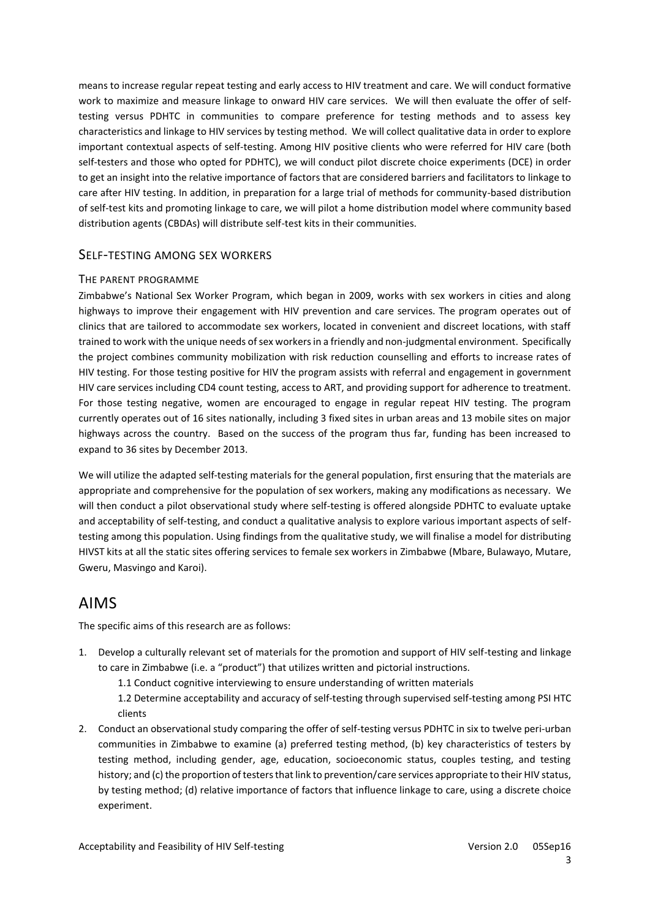means to increase regular repeat testing and early access to HIV treatment and care. We will conduct formative work to maximize and measure linkage to onward HIV care services. We will then evaluate the offer of selftesting versus PDHTC in communities to compare preference for testing methods and to assess key characteristics and linkage to HIV services by testing method. We will collect qualitative data in order to explore important contextual aspects of self-testing. Among HIV positive clients who were referred for HIV care (both self-testers and those who opted for PDHTC), we will conduct pilot discrete choice experiments (DCE) in order to get an insight into the relative importance of factors that are considered barriers and facilitators to linkage to care after HIV testing. In addition, in preparation for a large trial of methods for community-based distribution of self-test kits and promoting linkage to care, we will pilot a home distribution model where community based distribution agents (CBDAs) will distribute self-test kits in their communities.

### SELF-TESTING AMONG SEX WORKERS

#### THE PARENT PROGRAMME

Zimbabwe's National Sex Worker Program, which began in 2009, works with sex workers in cities and along highways to improve their engagement with HIV prevention and care services. The program operates out of clinics that are tailored to accommodate sex workers, located in convenient and discreet locations, with staff trained to work with the unique needs of sex workers in a friendly and non-judgmental environment. Specifically the project combines community mobilization with risk reduction counselling and efforts to increase rates of HIV testing. For those testing positive for HIV the program assists with referral and engagement in government HIV care services including CD4 count testing, access to ART, and providing support for adherence to treatment. For those testing negative, women are encouraged to engage in regular repeat HIV testing. The program currently operates out of 16 sites nationally, including 3 fixed sites in urban areas and 13 mobile sites on major highways across the country. Based on the success of the program thus far, funding has been increased to expand to 36 sites by December 2013.

We will utilize the adapted self-testing materials for the general population, first ensuring that the materials are appropriate and comprehensive for the population of sex workers, making any modifications as necessary. We will then conduct a pilot observational study where self-testing is offered alongside PDHTC to evaluate uptake and acceptability of self-testing, and conduct a qualitative analysis to explore various important aspects of selftesting among this population. Using findings from the qualitative study, we will finalise a model for distributing HIVST kits at all the static sites offering services to female sex workers in Zimbabwe (Mbare, Bulawayo, Mutare, Gweru, Masvingo and Karoi).

# AIMS

The specific aims of this research are as follows:

- 1. Develop a culturally relevant set of materials for the promotion and support of HIV self-testing and linkage to care in Zimbabwe (i.e. a "product") that utilizes written and pictorial instructions.
	- 1.1 Conduct cognitive interviewing to ensure understanding of written materials

1.2 Determine acceptability and accuracy of self-testing through supervised self-testing among PSI HTC clients

2. Conduct an observational study comparing the offer of self-testing versus PDHTC in six to twelve peri-urban communities in Zimbabwe to examine (a) preferred testing method, (b) key characteristics of testers by testing method, including gender, age, education, socioeconomic status, couples testing, and testing history; and (c) the proportion of testers that link to prevention/care services appropriate to their HIV status, by testing method; (d) relative importance of factors that influence linkage to care, using a discrete choice experiment.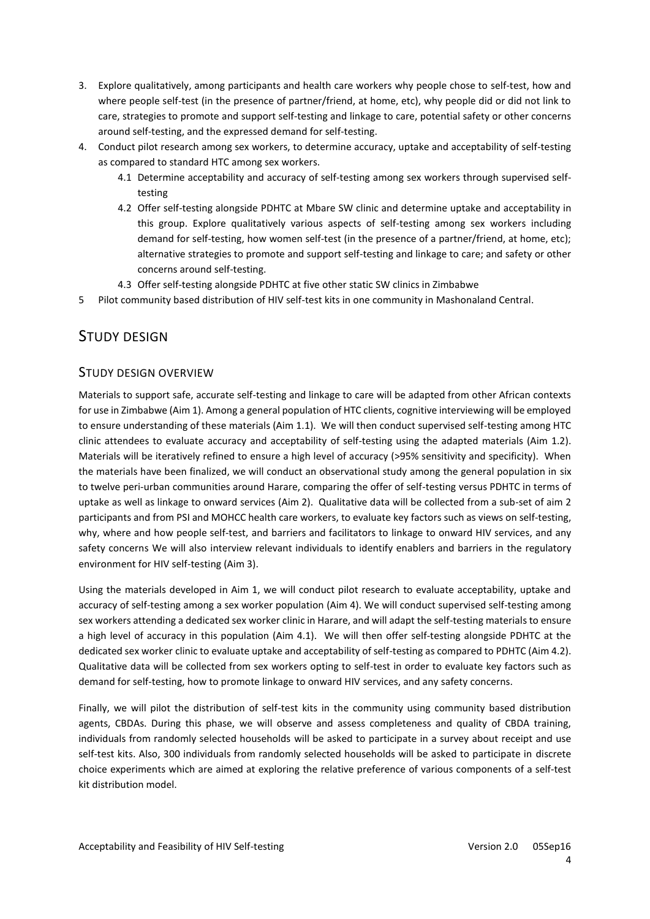- 3. Explore qualitatively, among participants and health care workers why people chose to self-test, how and where people self-test (in the presence of partner/friend, at home, etc), why people did or did not link to care, strategies to promote and support self-testing and linkage to care, potential safety or other concerns around self-testing, and the expressed demand for self-testing.
- 4. Conduct pilot research among sex workers, to determine accuracy, uptake and acceptability of self-testing as compared to standard HTC among sex workers.
	- 4.1 Determine acceptability and accuracy of self-testing among sex workers through supervised selftesting
	- 4.2 Offer self-testing alongside PDHTC at Mbare SW clinic and determine uptake and acceptability in this group. Explore qualitatively various aspects of self-testing among sex workers including demand for self-testing, how women self-test (in the presence of a partner/friend, at home, etc); alternative strategies to promote and support self-testing and linkage to care; and safety or other concerns around self-testing.
	- 4.3 Offer self-testing alongside PDHTC at five other static SW clinics in Zimbabwe
- 5 Pilot community based distribution of HIV self-test kits in one community in Mashonaland Central.

# STUDY DESIGN

# STUDY DESIGN OVERVIEW

Materials to support safe, accurate self-testing and linkage to care will be adapted from other African contexts for use in Zimbabwe (Aim 1). Among a general population of HTC clients, cognitive interviewing will be employed to ensure understanding of these materials (Aim 1.1). We will then conduct supervised self-testing among HTC clinic attendees to evaluate accuracy and acceptability of self-testing using the adapted materials (Aim 1.2). Materials will be iteratively refined to ensure a high level of accuracy (>95% sensitivity and specificity). When the materials have been finalized, we will conduct an observational study among the general population in six to twelve peri-urban communities around Harare, comparing the offer of self-testing versus PDHTC in terms of uptake as well as linkage to onward services (Aim 2). Qualitative data will be collected from a sub-set of aim 2 participants and from PSI and MOHCC health care workers, to evaluate key factors such as views on self-testing, why, where and how people self-test, and barriers and facilitators to linkage to onward HIV services, and any safety concerns We will also interview relevant individuals to identify enablers and barriers in the regulatory environment for HIV self-testing (Aim 3).

Using the materials developed in Aim 1, we will conduct pilot research to evaluate acceptability, uptake and accuracy of self-testing among a sex worker population (Aim 4). We will conduct supervised self-testing among sex workers attending a dedicated sex worker clinic in Harare, and will adapt the self-testing materials to ensure a high level of accuracy in this population (Aim 4.1). We will then offer self-testing alongside PDHTC at the dedicated sex worker clinic to evaluate uptake and acceptability of self-testing as compared to PDHTC (Aim 4.2). Qualitative data will be collected from sex workers opting to self-test in order to evaluate key factors such as demand for self-testing, how to promote linkage to onward HIV services, and any safety concerns.

Finally, we will pilot the distribution of self-test kits in the community using community based distribution agents, CBDAs. During this phase, we will observe and assess completeness and quality of CBDA training, individuals from randomly selected households will be asked to participate in a survey about receipt and use self-test kits. Also, 300 individuals from randomly selected households will be asked to participate in discrete choice experiments which are aimed at exploring the relative preference of various components of a self-test kit distribution model.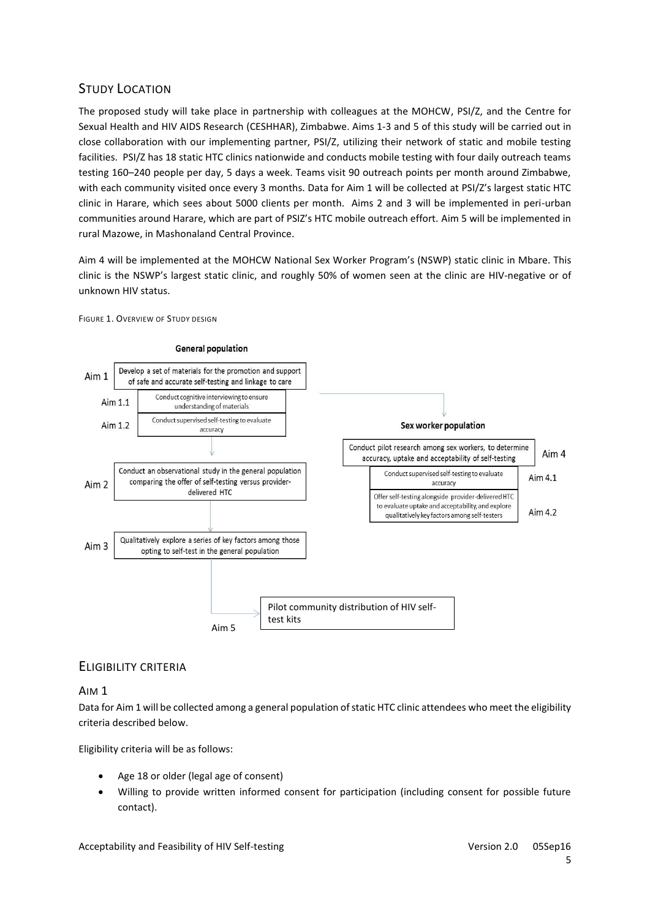# STUDY LOCATION

The proposed study will take place in partnership with colleagues at the MOHCW, PSI/Z, and the Centre for Sexual Health and HIV AIDS Research (CESHHAR), Zimbabwe. Aims 1-3 and 5 of this study will be carried out in close collaboration with our implementing partner, PSI/Z, utilizing their network of static and mobile testing facilities. PSI/Z has 18 static HTC clinics nationwide and conducts mobile testing with four daily outreach teams testing 160–240 people per day, 5 days a week. Teams visit 90 outreach points per month around Zimbabwe, with each community visited once every 3 months. Data for Aim 1 will be collected at PSI/Z's largest static HTC clinic in Harare, which sees about 5000 clients per month. Aims 2 and 3 will be implemented in peri-urban communities around Harare, which are part of PSIZ's HTC mobile outreach effort. Aim 5 will be implemented in rural Mazowe, in Mashonaland Central Province.

Aim 4 will be implemented at the MOHCW National Sex Worker Program's (NSWP) static clinic in Mbare. This clinic is the NSWP's largest static clinic, and roughly 50% of women seen at the clinic are HIV-negative or of unknown HIV status.



FIGURE 1. OVERVIEW OF STUDY DESIGN

# ELIGIBILITY CRITERIA

### AIM 1

Data for Aim 1 will be collected among a general population of static HTC clinic attendees who meet the eligibility criteria described below.

Eligibility criteria will be as follows:

- Age 18 or older (legal age of consent)
- Willing to provide written informed consent for participation (including consent for possible future contact).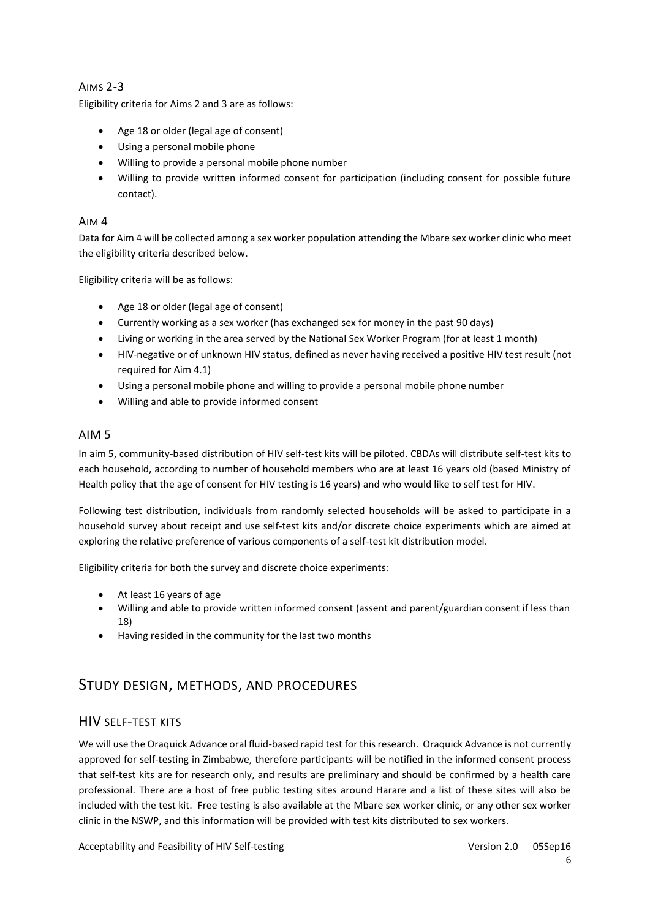# AIMS 2-3

Eligibility criteria for Aims 2 and 3 are as follows:

- Age 18 or older (legal age of consent)
- Using a personal mobile phone
- Willing to provide a personal mobile phone number
- Willing to provide written informed consent for participation (including consent for possible future contact).

### AIM 4

Data for Aim 4 will be collected among a sex worker population attending the Mbare sex worker clinic who meet the eligibility criteria described below.

Eligibility criteria will be as follows:

- Age 18 or older (legal age of consent)
- Currently working as a sex worker (has exchanged sex for money in the past 90 days)
- Living or working in the area served by the National Sex Worker Program (for at least 1 month)
- HIV-negative or of unknown HIV status, defined as never having received a positive HIV test result (not required for Aim 4.1)
- Using a personal mobile phone and willing to provide a personal mobile phone number
- Willing and able to provide informed consent

### AIM 5

In aim 5, community-based distribution of HIV self-test kits will be piloted. CBDAs will distribute self-test kits to each household, according to number of household members who are at least 16 years old (based Ministry of Health policy that the age of consent for HIV testing is 16 years) and who would like to self test for HIV.

Following test distribution, individuals from randomly selected households will be asked to participate in a household survey about receipt and use self-test kits and/or discrete choice experiments which are aimed at exploring the relative preference of various components of a self-test kit distribution model.

Eligibility criteria for both the survey and discrete choice experiments:

- At least 16 years of age
- Willing and able to provide written informed consent (assent and parent/guardian consent if less than 18)
- Having resided in the community for the last two months

# STUDY DESIGN, METHODS, AND PROCEDURES

# HIV SELF-TEST KITS

We will use the Oraquick Advance oral fluid-based rapid test for this research. Oraquick Advance is not currently approved for self-testing in Zimbabwe, therefore participants will be notified in the informed consent process that self-test kits are for research only, and results are preliminary and should be confirmed by a health care professional. There are a host of free public testing sites around Harare and a list of these sites will also be included with the test kit. Free testing is also available at the Mbare sex worker clinic, or any other sex worker clinic in the NSWP, and this information will be provided with test kits distributed to sex workers.

Acceptability and Feasibility of HIV Self-testing Version 2.0 05Sep16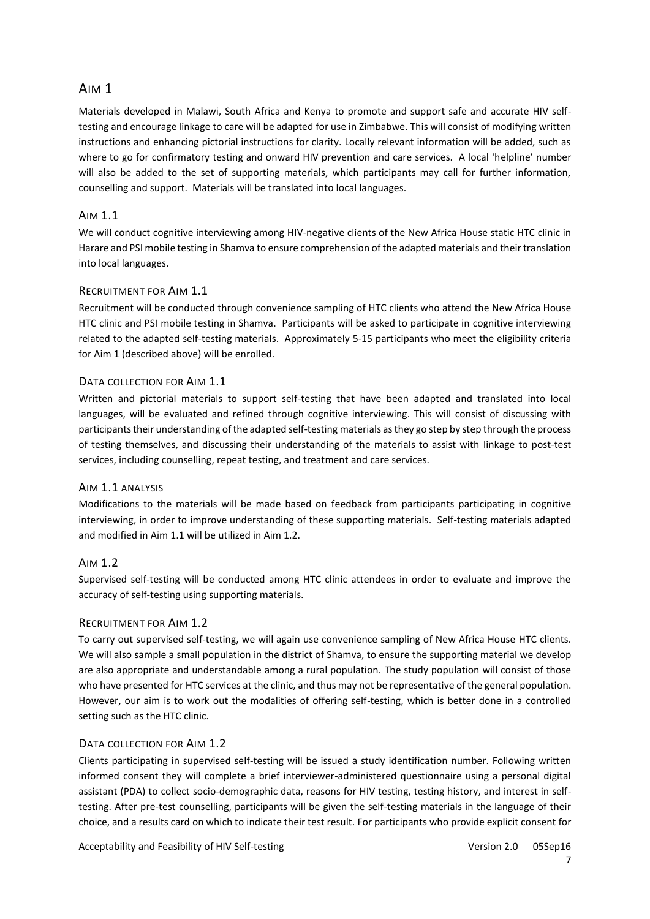# AIM 1

Materials developed in Malawi, South Africa and Kenya to promote and support safe and accurate HIV selftesting and encourage linkage to care will be adapted for use in Zimbabwe. This will consist of modifying written instructions and enhancing pictorial instructions for clarity. Locally relevant information will be added, such as where to go for confirmatory testing and onward HIV prevention and care services. A local 'helpline' number will also be added to the set of supporting materials, which participants may call for further information, counselling and support. Materials will be translated into local languages.

### AIM 1.1

We will conduct cognitive interviewing among HIV-negative clients of the New Africa House static HTC clinic in Harare and PSI mobile testing in Shamva to ensure comprehension of the adapted materials and their translation into local languages.

### RECRUITMENT FOR AIM 1.1

Recruitment will be conducted through convenience sampling of HTC clients who attend the New Africa House HTC clinic and PSI mobile testing in Shamva. Participants will be asked to participate in cognitive interviewing related to the adapted self-testing materials. Approximately 5-15 participants who meet the eligibility criteria for Aim 1 (described above) will be enrolled.

# DATA COLLECTION FOR AIM 1.1

Written and pictorial materials to support self-testing that have been adapted and translated into local languages, will be evaluated and refined through cognitive interviewing. This will consist of discussing with participants their understanding of the adapted self-testing materials as they go step by step through the process of testing themselves, and discussing their understanding of the materials to assist with linkage to post-test services, including counselling, repeat testing, and treatment and care services.

### AIM 1.1 ANALYSIS

Modifications to the materials will be made based on feedback from participants participating in cognitive interviewing, in order to improve understanding of these supporting materials. Self-testing materials adapted and modified in Aim 1.1 will be utilized in Aim 1.2.

# AIM 1.2

Supervised self-testing will be conducted among HTC clinic attendees in order to evaluate and improve the accuracy of self-testing using supporting materials.

# RECRUITMENT FOR AIM 1.2

To carry out supervised self-testing, we will again use convenience sampling of New Africa House HTC clients. We will also sample a small population in the district of Shamva, to ensure the supporting material we develop are also appropriate and understandable among a rural population. The study population will consist of those who have presented for HTC services at the clinic, and thus may not be representative of the general population. However, our aim is to work out the modalities of offering self-testing, which is better done in a controlled setting such as the HTC clinic.

### DATA COLLECTION FOR AIM 1.2

Clients participating in supervised self-testing will be issued a study identification number. Following written informed consent they will complete a brief interviewer-administered questionnaire using a personal digital assistant (PDA) to collect socio-demographic data, reasons for HIV testing, testing history, and interest in selftesting. After pre-test counselling, participants will be given the self-testing materials in the language of their choice, and a results card on which to indicate their test result. For participants who provide explicit consent for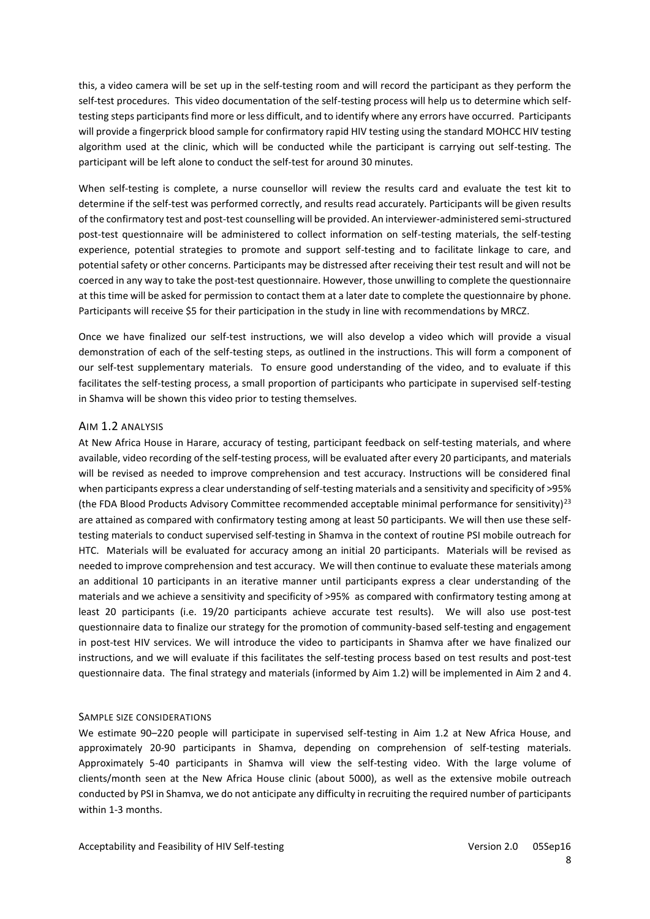this, a video camera will be set up in the self-testing room and will record the participant as they perform the self-test procedures. This video documentation of the self-testing process will help us to determine which selftesting steps participants find more or less difficult, and to identify where any errors have occurred. Participants will provide a fingerprick blood sample for confirmatory rapid HIV testing using the standard MOHCC HIV testing algorithm used at the clinic, which will be conducted while the participant is carrying out self-testing. The participant will be left alone to conduct the self-test for around 30 minutes.

When self-testing is complete, a nurse counsellor will review the results card and evaluate the test kit to determine if the self-test was performed correctly, and results read accurately. Participants will be given results of the confirmatory test and post-test counselling will be provided. An interviewer-administered semi-structured post-test questionnaire will be administered to collect information on self-testing materials, the self-testing experience, potential strategies to promote and support self-testing and to facilitate linkage to care, and potential safety or other concerns. Participants may be distressed after receiving their test result and will not be coerced in any way to take the post-test questionnaire. However, those unwilling to complete the questionnaire at this time will be asked for permission to contact them at a later date to complete the questionnaire by phone. Participants will receive \$5 for their participation in the study in line with recommendations by MRCZ.

Once we have finalized our self-test instructions, we will also develop a video which will provide a visual demonstration of each of the self-testing steps, as outlined in the instructions. This will form a component of our self-test supplementary materials. To ensure good understanding of the video, and to evaluate if this facilitates the self-testing process, a small proportion of participants who participate in supervised self-testing in Shamva will be shown this video prior to testing themselves.

#### AIM 1.2 ANALYSIS

At New Africa House in Harare, accuracy of testing, participant feedback on self-testing materials, and where available, video recording of the self-testing process, will be evaluated after every 20 participants, and materials will be revised as needed to improve comprehension and test accuracy. Instructions will be considered final when participants express a clear understanding of self-testing materials and a sensitivity and specificity of >95% (the FDA Blood Products Advisory Committee recommended acceptable minimal performance for sensitivity) $^{23}$  $^{23}$  $^{23}$ are attained as compared with confirmatory testing among at least 50 participants. We will then use these selftesting materials to conduct supervised self-testing in Shamva in the context of routine PSI mobile outreach for HTC. Materials will be evaluated for accuracy among an initial 20 participants. Materials will be revised as needed to improve comprehension and test accuracy. We will then continue to evaluate these materials among an additional 10 participants in an iterative manner until participants express a clear understanding of the materials and we achieve a sensitivity and specificity of >95% as compared with confirmatory testing among at least 20 participants (i.e. 19/20 participants achieve accurate test results). We will also use post-test questionnaire data to finalize our strategy for the promotion of community-based self-testing and engagement in post-test HIV services. We will introduce the video to participants in Shamva after we have finalized our instructions, and we will evaluate if this facilitates the self-testing process based on test results and post-test questionnaire data. The final strategy and materials (informed by Aim 1.2) will be implemented in Aim 2 and 4.

### SAMPLE SIZE CONSIDERATIONS

We estimate 90–220 people will participate in supervised self-testing in Aim 1.2 at New Africa House, and approximately 20-90 participants in Shamva, depending on comprehension of self-testing materials. Approximately 5-40 participants in Shamva will view the self-testing video. With the large volume of clients/month seen at the New Africa House clinic (about 5000), as well as the extensive mobile outreach conducted by PSI in Shamva, we do not anticipate any difficulty in recruiting the required number of participants within 1-3 months.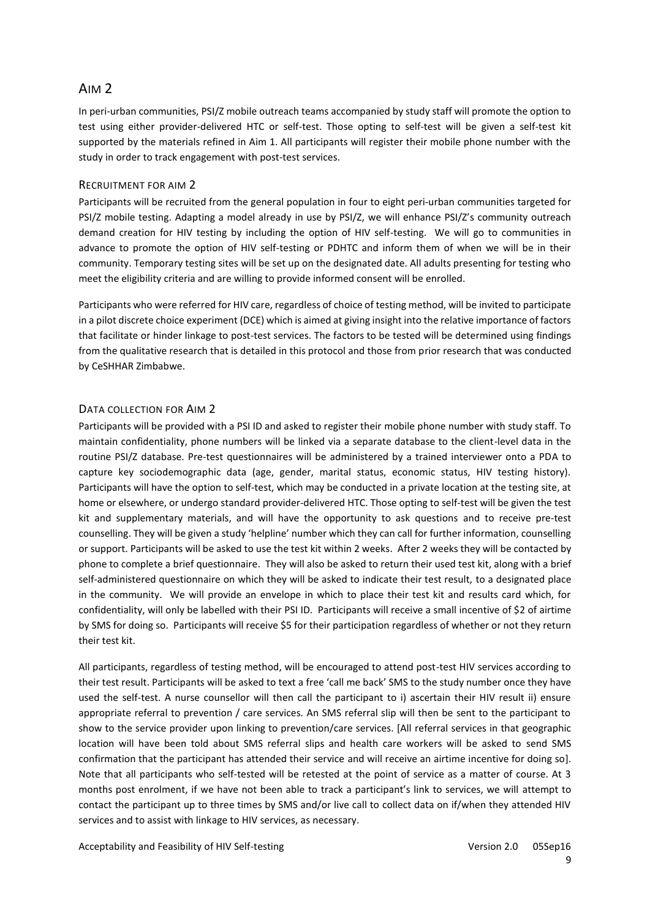# AIM 2

In peri-urban communities, PSI/Z mobile outreach teams accompanied by study staff will promote the option to test using either provider-delivered HTC or self-test. Those opting to self-test will be given a self-test kit supported by the materials refined in Aim 1. All participants will register their mobile phone number with the study in order to track engagement with post-test services.

#### RECRUITMENT FOR AIM 2

Participants will be recruited from the general population in four to eight peri-urban communities targeted for PSI/Z mobile testing. Adapting a model already in use by PSI/Z, we will enhance PSI/Z's community outreach demand creation for HIV testing by including the option of HIV self-testing. We will go to communities in advance to promote the option of HIV self-testing or PDHTC and inform them of when we will be in their community. Temporary testing sites will be set up on the designated date. All adults presenting for testing who meet the eligibility criteria and are willing to provide informed consent will be enrolled.

Participants who were referred for HIV care, regardless of choice of testing method, will be invited to participate in a pilot discrete choice experiment (DCE) which is aimed at giving insight into the relative importance of factors that facilitate or hinder linkage to post-test services. The factors to be tested will be determined using findings from the qualitative research that is detailed in this protocol and those from prior research that was conducted by CeSHHAR Zimbabwe.

#### DATA COLLECTION FOR AIM 2

Participants will be provided with a PSI ID and asked to register their mobile phone number with study staff. To maintain confidentiality, phone numbers will be linked via a separate database to the client-level data in the routine PSI/Z database. Pre-test questionnaires will be administered by a trained interviewer onto a PDA to capture key sociodemographic data (age, gender, marital status, economic status, HIV testing history). Participants will have the option to self-test, which may be conducted in a private location at the testing site, at home or elsewhere, or undergo standard provider-delivered HTC. Those opting to self-test will be given the test kit and supplementary materials, and will have the opportunity to ask questions and to receive pre-test counselling. They will be given a study 'helpline' number which they can call for further information, counselling or support. Participants will be asked to use the test kit within 2 weeks. After 2 weeks they will be contacted by phone to complete a brief questionnaire. They will also be asked to return their used test kit, along with a brief self-administered questionnaire on which they will be asked to indicate their test result, to a designated place in the community. We will provide an envelope in which to place their test kit and results card which, for confidentiality, will only be labelled with their PSI ID. Participants will receive a small incentive of \$2 of airtime by SMS for doing so. Participants will receive \$5 for their participation regardless of whether or not they return their test kit.

All participants, regardless of testing method, will be encouraged to attend post-test HIV services according to their test result. Participants will be asked to text a free 'call me back' SMS to the study number once they have used the self-test. A nurse counsellor will then call the participant to i) ascertain their HIV result ii) ensure appropriate referral to prevention / care services. An SMS referral slip will then be sent to the participant to show to the service provider upon linking to prevention/care services. [All referral services in that geographic location will have been told about SMS referral slips and health care workers will be asked to send SMS confirmation that the participant has attended their service and will receive an airtime incentive for doing so]. Note that all participants who self-tested will be retested at the point of service as a matter of course. At 3 months post enrolment, if we have not been able to track a participant's link to services, we will attempt to contact the participant up to three times by SMS and/or live call to collect data on if/when they attended HIV services and to assist with linkage to HIV services, as necessary.

Acceptability and Feasibility of HIV Self-testing Version 2.0 05Sep16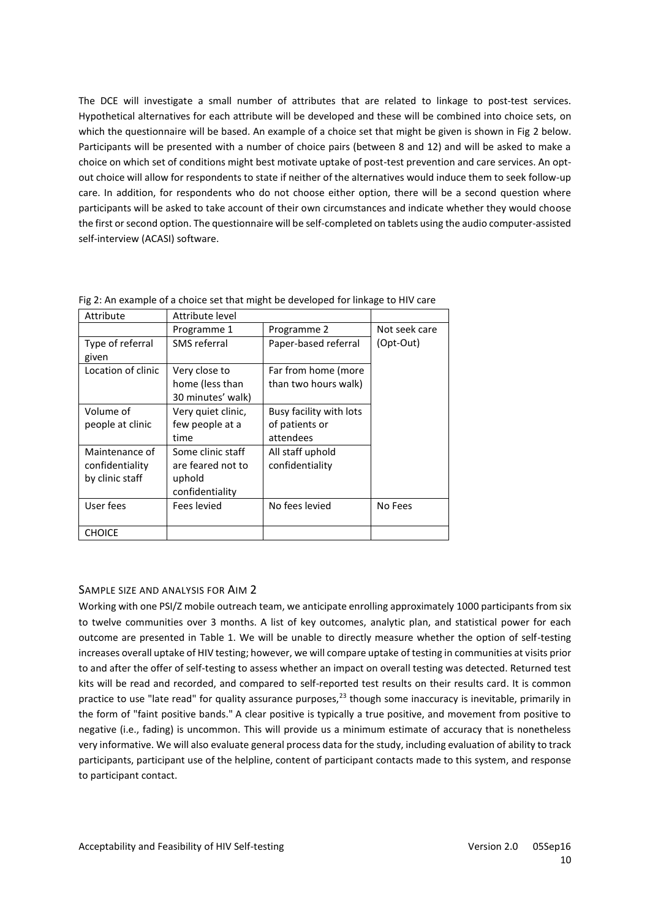The DCE will investigate a small number of attributes that are related to linkage to post-test services. Hypothetical alternatives for each attribute will be developed and these will be combined into choice sets, on which the questionnaire will be based. An example of a choice set that might be given is shown in Fig 2 below. Participants will be presented with a number of choice pairs (between 8 and 12) and will be asked to make a choice on which set of conditions might best motivate uptake of post-test prevention and care services. An optout choice will allow for respondents to state if neither of the alternatives would induce them to seek follow-up care. In addition, for respondents who do not choose either option, there will be a second question where participants will be asked to take account of their own circumstances and indicate whether they would choose the first or second option. The questionnaire will be self-completed on tablets using the audio computer-assisted self-interview (ACASI) software.

| Attribute          | Attribute level    |                         |               |
|--------------------|--------------------|-------------------------|---------------|
|                    | Programme 1        | Programme 2             | Not seek care |
| Type of referral   | SMS referral       | Paper-based referral    | (Opt-Out)     |
| given              |                    |                         |               |
| Location of clinic | Very close to      | Far from home (more     |               |
|                    | home (less than    | than two hours walk)    |               |
|                    | 30 minutes' walk)  |                         |               |
| Volume of          | Very quiet clinic, | Busy facility with lots |               |
| people at clinic   | few people at a    | of patients or          |               |
|                    | time               | attendees               |               |
| Maintenance of     | Some clinic staff  | All staff uphold        |               |
| confidentiality    | are feared not to  | confidentiality         |               |
| by clinic staff    | uphold             |                         |               |
|                    | confidentiality    |                         |               |
| User fees          | Fees levied        | No fees levied          | No Fees       |
|                    |                    |                         |               |
| <b>CHOICE</b>      |                    |                         |               |

Fig 2: An example of a choice set that might be developed for linkage to HIV care

#### SAMPLE SIZE AND ANALYSIS FOR AIM 2

Working with one PSI/Z mobile outreach team, we anticipate enrolling approximately 1000 participants from six to twelve communities over 3 months. A list of key outcomes, analytic plan, and statistical power for each outcome are presented in Table 1. We will be unable to directly measure whether the option of self-testing increases overall uptake of HIV testing; however, we will compare uptake of testing in communities at visits prior to and after the offer of self-testing to assess whether an impact on overall testing was detected. Returned test kits will be read and recorded, and compared to self-reported test results on their results card. It is common practice to use "late read" for quality assurance purposes,<sup>[23](#page-21-10)</sup> though some inaccuracy is inevitable, primarily in the form of "faint positive bands." A clear positive is typically a true positive, and movement from positive to negative (i.e., fading) is uncommon. This will provide us a minimum estimate of accuracy that is nonetheless very informative. We will also evaluate general process data for the study, including evaluation of ability to track participants, participant use of the helpline, content of participant contacts made to this system, and response to participant contact.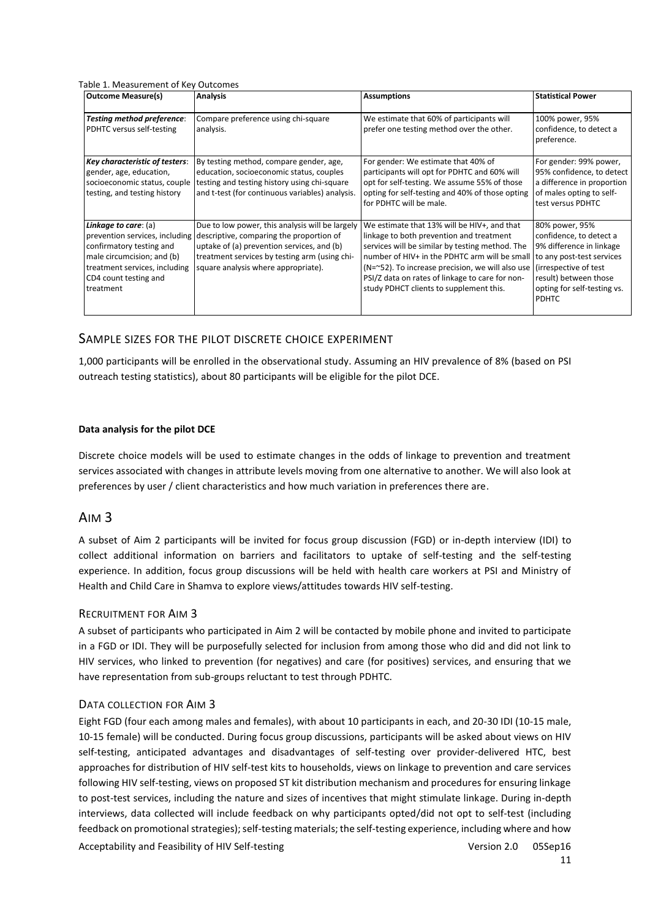Table 1. Measurement of Key Outcomes

| <b>Outcome Measure(s)</b>                                                                                                                             | <b>Analysis</b>                                                                                                                                                                                                                                                  | <b>Assumptions</b>                                                                                                                                                                                                                                                                                                                            | <b>Statistical Power</b>                                                                                                                                                                            |  |  |  |
|-------------------------------------------------------------------------------------------------------------------------------------------------------|------------------------------------------------------------------------------------------------------------------------------------------------------------------------------------------------------------------------------------------------------------------|-----------------------------------------------------------------------------------------------------------------------------------------------------------------------------------------------------------------------------------------------------------------------------------------------------------------------------------------------|-----------------------------------------------------------------------------------------------------------------------------------------------------------------------------------------------------|--|--|--|
| <b>Testing method preference:</b><br>PDHTC versus self-testing                                                                                        | Compare preference using chi-square<br>analysis.                                                                                                                                                                                                                 | We estimate that 60% of participants will<br>prefer one testing method over the other.                                                                                                                                                                                                                                                        | 100% power, 95%<br>confidence, to detect a<br>preference.                                                                                                                                           |  |  |  |
| Key characteristic of testers:<br>gender, age, education,<br>socioeconomic status, couple<br>testing, and testing history                             | By testing method, compare gender, age,<br>education, socioeconomic status, couples<br>testing and testing history using chi-square<br>and t-test (for continuous variables) analysis.                                                                           | For gender: We estimate that 40% of<br>participants will opt for PDHTC and 60% will<br>opt for self-testing. We assume 55% of those<br>opting for self-testing and 40% of those opting<br>for PDHTC will be male.                                                                                                                             | For gender: 99% power,<br>95% confidence, to detect<br>a difference in proportion<br>of males opting to self-<br>test versus PDHTC                                                                  |  |  |  |
| Linkage to care: (a)<br>confirmatory testing and<br>male circumcision; and (b)<br>treatment services, including<br>CD4 count testing and<br>treatment | Due to low power, this analysis will be largely<br>prevention services, including descriptive, comparing the proportion of<br>uptake of (a) prevention services, and (b)<br>treatment services by testing arm (using chi-<br>square analysis where appropriate). | We estimate that 13% will be HIV+, and that<br>linkage to both prevention and treatment<br>services will be similar by testing method. The<br>number of HIV+ in the PDHTC arm will be small<br>(N=~52). To increase precision, we will also use<br>PSI/Z data on rates of linkage to care for non-<br>study PDHCT clients to supplement this. | 80% power, 95%<br>confidence, to detect a<br>9% difference in linkage<br>to any post-test services<br>(irrespective of test<br>result) between those<br>opting for self-testing vs.<br><b>PDHTC</b> |  |  |  |

### SAMPLE SIZES FOR THE PILOT DISCRETE CHOICE EXPERIMENT

1,000 participants will be enrolled in the observational study. Assuming an HIV prevalence of 8% (based on PSI outreach testing statistics), about 80 participants will be eligible for the pilot DCE.

#### **Data analysis for the pilot DCE**

Discrete choice models will be used to estimate changes in the odds of linkage to prevention and treatment services associated with changes in attribute levels moving from one alternative to another. We will also look at preferences by user / client characteristics and how much variation in preferences there are.

#### AIM 3

A subset of Aim 2 participants will be invited for focus group discussion (FGD) or in-depth interview (IDI) to collect additional information on barriers and facilitators to uptake of self-testing and the self-testing experience. In addition, focus group discussions will be held with health care workers at PSI and Ministry of Health and Child Care in Shamva to explore views/attitudes towards HIV self-testing.

#### RECRUITMENT FOR AIM 3

A subset of participants who participated in Aim 2 will be contacted by mobile phone and invited to participate in a FGD or IDI. They will be purposefully selected for inclusion from among those who did and did not link to HIV services, who linked to prevention (for negatives) and care (for positives) services, and ensuring that we have representation from sub-groups reluctant to test through PDHTC.

#### DATA COLLECTION FOR AIM 3

Acceptability and Feasibility of HIV Self-testing Version 2.0 05Sep16 Eight FGD (four each among males and females), with about 10 participants in each, and 20-30 IDI (10-15 male, 10-15 female) will be conducted. During focus group discussions, participants will be asked about views on HIV self-testing, anticipated advantages and disadvantages of self-testing over provider-delivered HTC, best approaches for distribution of HIV self-test kits to households, views on linkage to prevention and care services following HIV self-testing, views on proposed ST kit distribution mechanism and procedures for ensuring linkage to post-test services, including the nature and sizes of incentives that might stimulate linkage. During in-depth interviews, data collected will include feedback on why participants opted/did not opt to self-test (including feedback on promotional strategies); self-testing materials; the self-testing experience, including where and how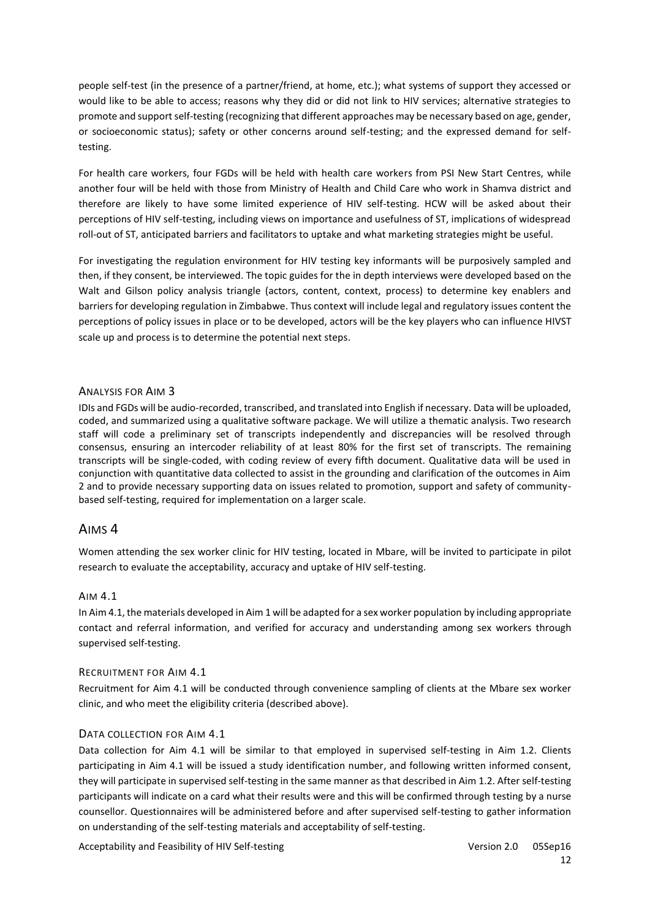people self-test (in the presence of a partner/friend, at home, etc.); what systems of support they accessed or would like to be able to access; reasons why they did or did not link to HIV services; alternative strategies to promote and support self-testing (recognizing that different approaches may be necessary based on age, gender, or socioeconomic status); safety or other concerns around self-testing; and the expressed demand for selftesting.

For health care workers, four FGDs will be held with health care workers from PSI New Start Centres, while another four will be held with those from Ministry of Health and Child Care who work in Shamva district and therefore are likely to have some limited experience of HIV self-testing. HCW will be asked about their perceptions of HIV self-testing, including views on importance and usefulness of ST, implications of widespread roll-out of ST, anticipated barriers and facilitators to uptake and what marketing strategies might be useful.

For investigating the regulation environment for HIV testing key informants will be purposively sampled and then, if they consent, be interviewed. The topic guides for the in depth interviews were developed based on the Walt and Gilson policy analysis triangle (actors, content, context, process) to determine key enablers and barriers for developing regulation in Zimbabwe. Thus context will include legal and regulatory issues content the perceptions of policy issues in place or to be developed, actors will be the key players who can influence HIVST scale up and process is to determine the potential next steps.

#### ANALYSIS FOR AIM 3

IDIs and FGDs will be audio-recorded, transcribed, and translated into English if necessary. Data will be uploaded, coded, and summarized using a qualitative software package. We will utilize a thematic analysis. Two research staff will code a preliminary set of transcripts independently and discrepancies will be resolved through consensus, ensuring an intercoder reliability of at least 80% for the first set of transcripts. The remaining transcripts will be single-coded, with coding review of every fifth document. Qualitative data will be used in conjunction with quantitative data collected to assist in the grounding and clarification of the outcomes in Aim 2 and to provide necessary supporting data on issues related to promotion, support and safety of communitybased self-testing, required for implementation on a larger scale.

### AIMS 4

Women attending the sex worker clinic for HIV testing, located in Mbare, will be invited to participate in pilot research to evaluate the acceptability, accuracy and uptake of HIV self-testing.

#### AIM 4.1

In Aim 4.1, the materials developed in Aim 1 will be adapted for a sex worker population by including appropriate contact and referral information, and verified for accuracy and understanding among sex workers through supervised self-testing.

#### RECRUITMENT FOR AIM 4.1

Recruitment for Aim 4.1 will be conducted through convenience sampling of clients at the Mbare sex worker clinic, and who meet the eligibility criteria (described above).

#### DATA COLLECTION FOR AIM 4.1

Data collection for Aim 4.1 will be similar to that employed in supervised self-testing in Aim 1.2. Clients participating in Aim 4.1 will be issued a study identification number, and following written informed consent, they will participate in supervised self-testing in the same manner as that described in Aim 1.2. After self-testing participants will indicate on a card what their results were and this will be confirmed through testing by a nurse counsellor. Questionnaires will be administered before and after supervised self-testing to gather information on understanding of the self-testing materials and acceptability of self-testing.

Acceptability and Feasibility of HIV Self-testing Version 2.0 05Sep16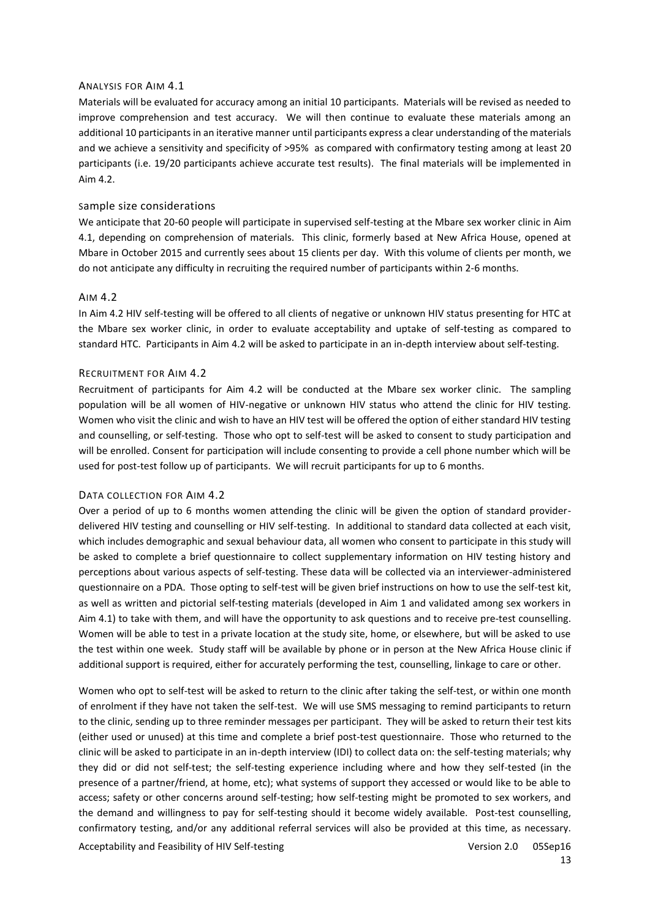#### ANALYSIS FOR AIM 4.1

Materials will be evaluated for accuracy among an initial 10 participants. Materials will be revised as needed to improve comprehension and test accuracy. We will then continue to evaluate these materials among an additional 10 participants in an iterative manner until participants express a clear understanding of the materials and we achieve a sensitivity and specificity of >95% as compared with confirmatory testing among at least 20 participants (i.e. 19/20 participants achieve accurate test results). The final materials will be implemented in Aim 4.2.

#### Sample size considerations

We anticipate that 20-60 people will participate in supervised self-testing at the Mbare sex worker clinic in Aim 4.1, depending on comprehension of materials. This clinic, formerly based at New Africa House, opened at Mbare in October 2015 and currently sees about 15 clients per day. With this volume of clients per month, we do not anticipate any difficulty in recruiting the required number of participants within 2-6 months.

#### AIM 4.2

In Aim 4.2 HIV self-testing will be offered to all clients of negative or unknown HIV status presenting for HTC at the Mbare sex worker clinic, in order to evaluate acceptability and uptake of self-testing as compared to standard HTC. Participants in Aim 4.2 will be asked to participate in an in-depth interview about self-testing.

#### RECRUITMENT FOR AIM 4.2

Recruitment of participants for Aim 4.2 will be conducted at the Mbare sex worker clinic. The sampling population will be all women of HIV-negative or unknown HIV status who attend the clinic for HIV testing. Women who visit the clinic and wish to have an HIV test will be offered the option of either standard HIV testing and counselling, or self-testing. Those who opt to self-test will be asked to consent to study participation and will be enrolled. Consent for participation will include consenting to provide a cell phone number which will be used for post-test follow up of participants. We will recruit participants for up to 6 months.

#### DATA COLLECTION FOR AIM 4.2

Over a period of up to 6 months women attending the clinic will be given the option of standard providerdelivered HIV testing and counselling or HIV self-testing. In additional to standard data collected at each visit, which includes demographic and sexual behaviour data, all women who consent to participate in this study will be asked to complete a brief questionnaire to collect supplementary information on HIV testing history and perceptions about various aspects of self-testing. These data will be collected via an interviewer-administered questionnaire on a PDA. Those opting to self-test will be given brief instructions on how to use the self-test kit, as well as written and pictorial self-testing materials (developed in Aim 1 and validated among sex workers in Aim 4.1) to take with them, and will have the opportunity to ask questions and to receive pre-test counselling. Women will be able to test in a private location at the study site, home, or elsewhere, but will be asked to use the test within one week. Study staff will be available by phone or in person at the New Africa House clinic if additional support is required, either for accurately performing the test, counselling, linkage to care or other.

Acceptability and Feasibility of HIV Self-testing Version 2.0 05Sep16 Women who opt to self-test will be asked to return to the clinic after taking the self-test, or within one month of enrolment if they have not taken the self-test. We will use SMS messaging to remind participants to return to the clinic, sending up to three reminder messages per participant. They will be asked to return their test kits (either used or unused) at this time and complete a brief post-test questionnaire. Those who returned to the clinic will be asked to participate in an in-depth interview (IDI) to collect data on: the self-testing materials; why they did or did not self-test; the self-testing experience including where and how they self-tested (in the presence of a partner/friend, at home, etc); what systems of support they accessed or would like to be able to access; safety or other concerns around self-testing; how self-testing might be promoted to sex workers, and the demand and willingness to pay for self-testing should it become widely available. Post-test counselling, confirmatory testing, and/or any additional referral services will also be provided at this time, as necessary.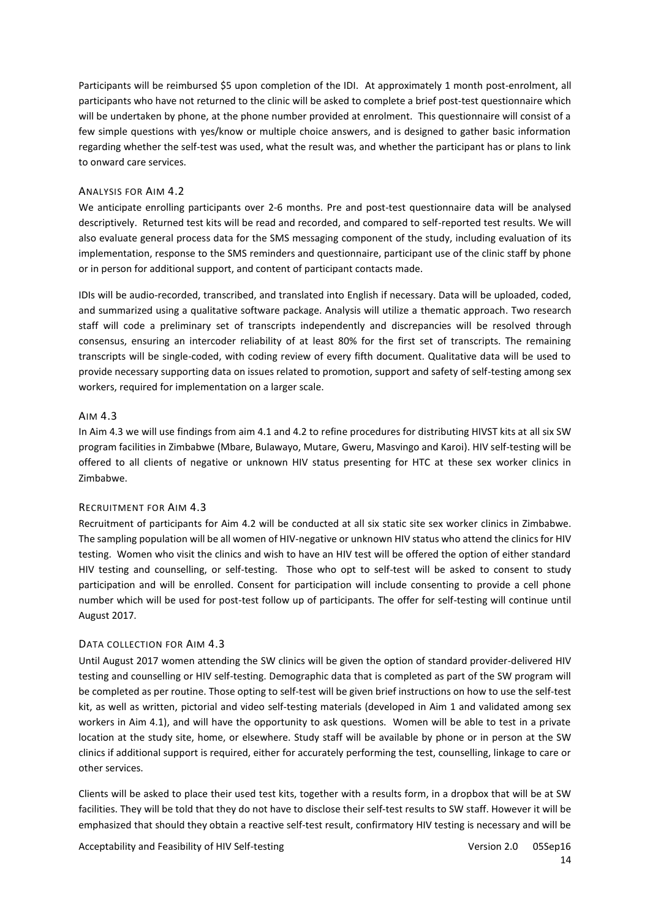Participants will be reimbursed \$5 upon completion of the IDI. At approximately 1 month post-enrolment, all participants who have not returned to the clinic will be asked to complete a brief post-test questionnaire which will be undertaken by phone, at the phone number provided at enrolment. This questionnaire will consist of a few simple questions with yes/know or multiple choice answers, and is designed to gather basic information regarding whether the self-test was used, what the result was, and whether the participant has or plans to link to onward care services.

#### ANALYSIS FOR AIM 4.2

We anticipate enrolling participants over 2-6 months. Pre and post-test questionnaire data will be analysed descriptively. Returned test kits will be read and recorded, and compared to self-reported test results. We will also evaluate general process data for the SMS messaging component of the study, including evaluation of its implementation, response to the SMS reminders and questionnaire, participant use of the clinic staff by phone or in person for additional support, and content of participant contacts made.

IDIs will be audio-recorded, transcribed, and translated into English if necessary. Data will be uploaded, coded, and summarized using a qualitative software package. Analysis will utilize a thematic approach. Two research staff will code a preliminary set of transcripts independently and discrepancies will be resolved through consensus, ensuring an intercoder reliability of at least 80% for the first set of transcripts. The remaining transcripts will be single-coded, with coding review of every fifth document. Qualitative data will be used to provide necessary supporting data on issues related to promotion, support and safety of self-testing among sex workers, required for implementation on a larger scale.

#### AIM 4.3

In Aim 4.3 we will use findings from aim 4.1 and 4.2 to refine procedures for distributing HIVST kits at all six SW program facilities in Zimbabwe (Mbare, Bulawayo, Mutare, Gweru, Masvingo and Karoi). HIV self-testing will be offered to all clients of negative or unknown HIV status presenting for HTC at these sex worker clinics in Zimbabwe.

#### RECRUITMENT FOR AIM 4.3

Recruitment of participants for Aim 4.2 will be conducted at all six static site sex worker clinics in Zimbabwe. The sampling population will be all women of HIV-negative or unknown HIV status who attend the clinics for HIV testing. Women who visit the clinics and wish to have an HIV test will be offered the option of either standard HIV testing and counselling, or self-testing. Those who opt to self-test will be asked to consent to study participation and will be enrolled. Consent for participation will include consenting to provide a cell phone number which will be used for post-test follow up of participants. The offer for self-testing will continue until August 2017.

#### DATA COLLECTION FOR AIM 4.3

Until August 2017 women attending the SW clinics will be given the option of standard provider-delivered HIV testing and counselling or HIV self-testing. Demographic data that is completed as part of the SW program will be completed as per routine. Those opting to self-test will be given brief instructions on how to use the self-test kit, as well as written, pictorial and video self-testing materials (developed in Aim 1 and validated among sex workers in Aim 4.1), and will have the opportunity to ask questions. Women will be able to test in a private location at the study site, home, or elsewhere. Study staff will be available by phone or in person at the SW clinics if additional support is required, either for accurately performing the test, counselling, linkage to care or other services.

Clients will be asked to place their used test kits, together with a results form, in a dropbox that will be at SW facilities. They will be told that they do not have to disclose their self-test results to SW staff. However it will be emphasized that should they obtain a reactive self-test result, confirmatory HIV testing is necessary and will be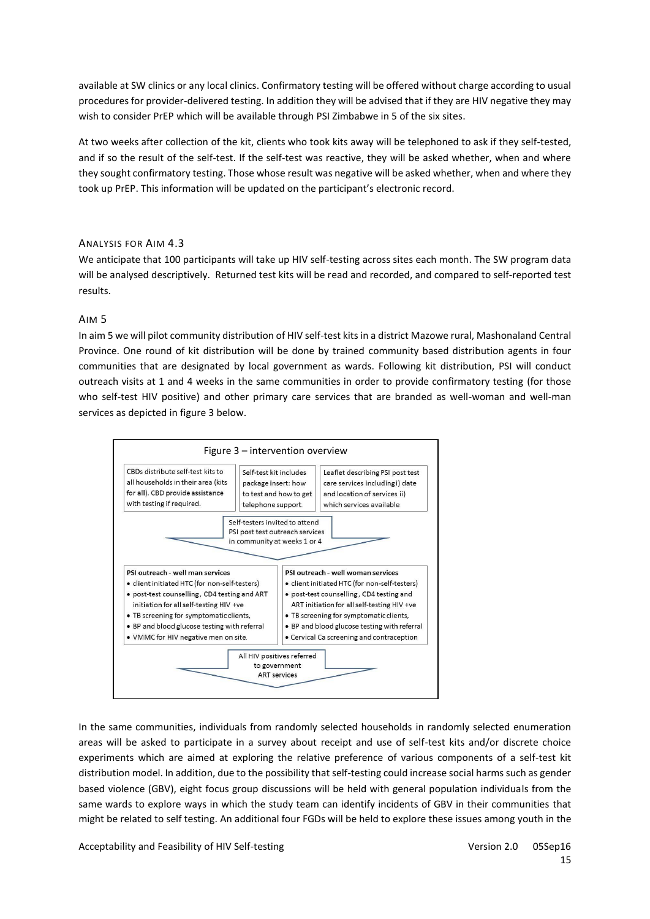available at SW clinics or any local clinics. Confirmatory testing will be offered without charge according to usual procedures for provider-delivered testing. In addition they will be advised that if they are HIV negative they may wish to consider PrEP which will be available through PSI Zimbabwe in 5 of the six sites.

At two weeks after collection of the kit, clients who took kits away will be telephoned to ask if they self-tested, and if so the result of the self-test. If the self-test was reactive, they will be asked whether, when and where they sought confirmatory testing. Those whose result was negative will be asked whether, when and where they took up PrEP. This information will be updated on the participant's electronic record.

### ANALYSIS FOR AIM 4.3

We anticipate that 100 participants will take up HIV self-testing across sites each month. The SW program data will be analysed descriptively. Returned test kits will be read and recorded, and compared to self-reported test results.

#### AIM 5

In aim 5 we will pilot community distribution of HIV self-test kits in a district Mazowe rural, Mashonaland Central Province. One round of kit distribution will be done by trained community based distribution agents in four communities that are designated by local government as wards. Following kit distribution, PSI will conduct outreach visits at 1 and 4 weeks in the same communities in order to provide confirmatory testing (for those who self-test HIV positive) and other primary care services that are branded as well-woman and well-man services as depicted in figure 3 below.



In the same communities, individuals from randomly selected households in randomly selected enumeration areas will be asked to participate in a survey about receipt and use of self-test kits and/or discrete choice experiments which are aimed at exploring the relative preference of various components of a self-test kit distribution model. In addition, due to the possibility that self-testing could increase social harms such as gender based violence (GBV), eight focus group discussions will be held with general population individuals from the same wards to explore ways in which the study team can identify incidents of GBV in their communities that might be related to self testing. An additional four FGDs will be held to explore these issues among youth in the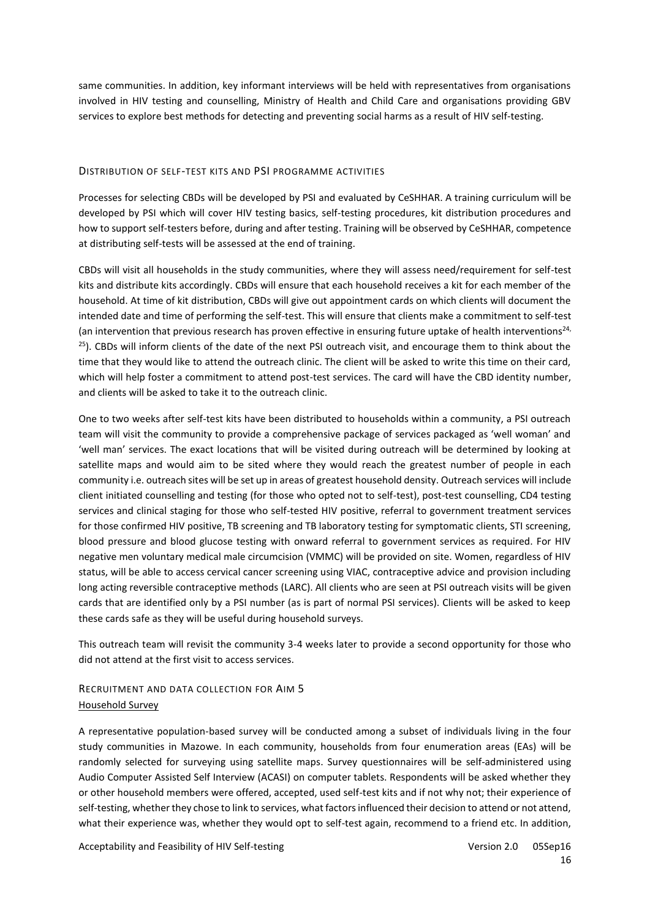same communities. In addition, key informant interviews will be held with representatives from organisations involved in HIV testing and counselling, Ministry of Health and Child Care and organisations providing GBV services to explore best methods for detecting and preventing social harms as a result of HIV self-testing.

#### DISTRIBUTION OF SELF-TEST KITS AND PSI PROGRAMME ACTIVITIES

Processes for selecting CBDs will be developed by PSI and evaluated by CeSHHAR. A training curriculum will be developed by PSI which will cover HIV testing basics, self-testing procedures, kit distribution procedures and how to support self-testers before, during and after testing. Training will be observed by CeSHHAR, competence at distributing self-tests will be assessed at the end of training.

CBDs will visit all households in the study communities, where they will assess need/requirement for self-test kits and distribute kits accordingly. CBDs will ensure that each household receives a kit for each member of the household. At time of kit distribution, CBDs will give out appointment cards on which clients will document the intended date and time of performing the self-test. This will ensure that clients make a commitment to self-test (an intervention that previous research has proven effective in ensuring future uptake of health interventions<sup>24,</sup> <sup>[25](#page-21-12)</sup>). CBDs will inform clients of the date of the next PSI outreach visit, and encourage them to think about the time that they would like to attend the outreach clinic. The client will be asked to write this time on their card, which will help foster a commitment to attend post-test services. The card will have the CBD identity number, and clients will be asked to take it to the outreach clinic.

One to two weeks after self-test kits have been distributed to households within a community, a PSI outreach team will visit the community to provide a comprehensive package of services packaged as 'well woman' and 'well man' services. The exact locations that will be visited during outreach will be determined by looking at satellite maps and would aim to be sited where they would reach the greatest number of people in each community i.e. outreach sites will be set up in areas of greatest household density. Outreach services will include client initiated counselling and testing (for those who opted not to self-test), post-test counselling, CD4 testing services and clinical staging for those who self-tested HIV positive, referral to government treatment services for those confirmed HIV positive, TB screening and TB laboratory testing for symptomatic clients, STI screening, blood pressure and blood glucose testing with onward referral to government services as required. For HIV negative men voluntary medical male circumcision (VMMC) will be provided on site. Women, regardless of HIV status, will be able to access cervical cancer screening using VIAC, contraceptive advice and provision including long acting reversible contraceptive methods (LARC). All clients who are seen at PSI outreach visits will be given cards that are identified only by a PSI number (as is part of normal PSI services). Clients will be asked to keep these cards safe as they will be useful during household surveys.

This outreach team will revisit the community 3-4 weeks later to provide a second opportunity for those who did not attend at the first visit to access services.

# RECRUITMENT AND DATA COLLECTION FOR AIM 5 Household Survey

A representative population-based survey will be conducted among a subset of individuals living in the four study communities in Mazowe. In each community, households from four enumeration areas (EAs) will be randomly selected for surveying using satellite maps. Survey questionnaires will be self-administered using Audio Computer Assisted Self Interview (ACASI) on computer tablets. Respondents will be asked whether they or other household members were offered, accepted, used self-test kits and if not why not; their experience of self-testing, whether they chose to link to services, what factors influenced their decision to attend or not attend, what their experience was, whether they would opt to self-test again, recommend to a friend etc. In addition,

Acceptability and Feasibility of HIV Self-testing Version 2.0 05Sep16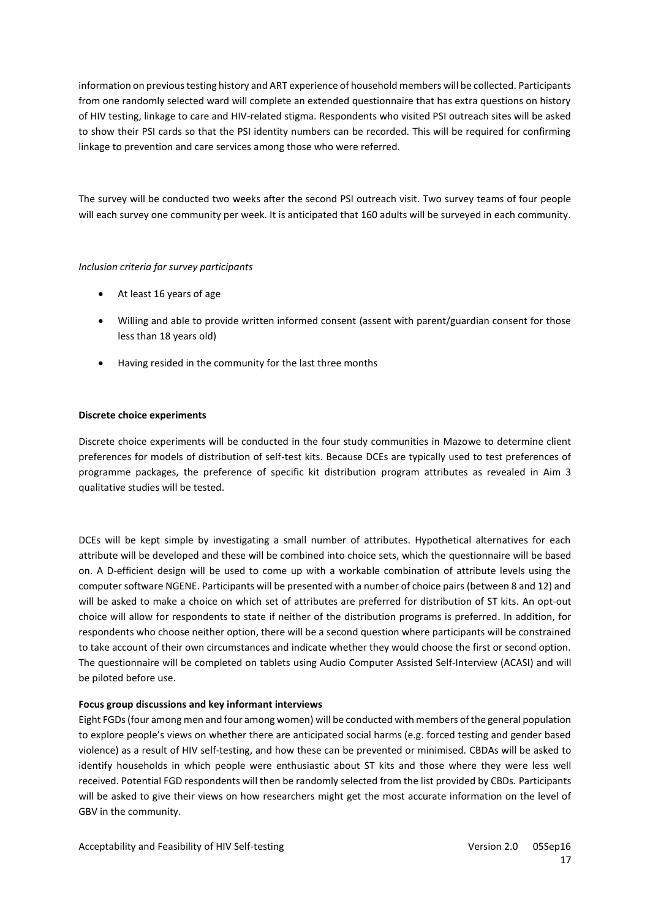information on previous testing history and ART experience of household members will be collected. Participants from one randomly selected ward will complete an extended questionnaire that has extra questions on history of HIV testing, linkage to care and HIV-related stigma. Respondents who visited PSI outreach sites will be asked to show their PSI cards so that the PSI identity numbers can be recorded. This will be required for confirming linkage to prevention and care services among those who were referred.

The survey will be conducted two weeks after the second PSI outreach visit. Two survey teams of four people will each survey one community per week. It is anticipated that 160 adults will be surveyed in each community.

#### *Inclusion criteria for survey participants*

- At least 16 years of age
- Willing and able to provide written informed consent (assent with parent/guardian consent for those less than 18 years old)
- Having resided in the community for the last three months

#### **Discrete choice experiments**

Discrete choice experiments will be conducted in the four study communities in Mazowe to determine client preferences for models of distribution of self-test kits. Because DCEs are typically used to test preferences of programme packages, the preference of specific kit distribution program attributes as revealed in Aim 3 qualitative studies will be tested.

DCEs will be kept simple by investigating a small number of attributes. Hypothetical alternatives for each attribute will be developed and these will be combined into choice sets, which the questionnaire will be based on. A D-efficient design will be used to come up with a workable combination of attribute levels using the computer software NGENE. Participants will be presented with a number of choice pairs (between 8 and 12) and will be asked to make a choice on which set of attributes are preferred for distribution of ST kits. An opt-out choice will allow for respondents to state if neither of the distribution programs is preferred. In addition, for respondents who choose neither option, there will be a second question where participants will be constrained to take account of their own circumstances and indicate whether they would choose the first or second option. The questionnaire will be completed on tablets using Audio Computer Assisted Self-Interview (ACASI) and will be piloted before use.

### **Focus group discussions and key informant interviews**

Eight FGDs (four among men and four among women) will be conducted with members of the general population to explore people's views on whether there are anticipated social harms (e.g. forced testing and gender based violence) as a result of HIV self-testing, and how these can be prevented or minimised. CBDAs will be asked to identify households in which people were enthusiastic about ST kits and those where they were less well received. Potential FGD respondents will then be randomly selected from the list provided by CBDs. Participants will be asked to give their views on how researchers might get the most accurate information on the level of GBV in the community.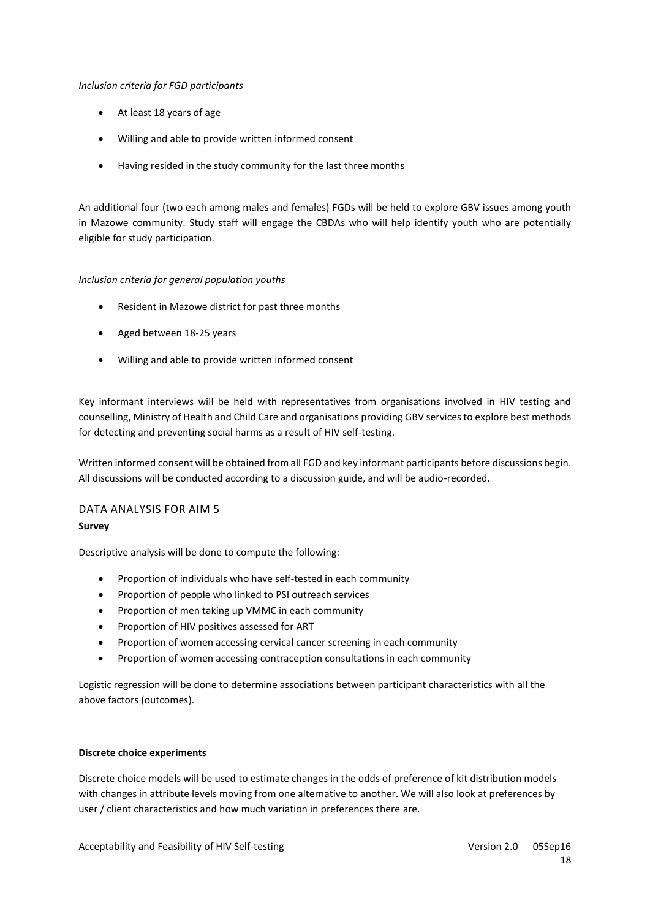#### *Inclusion criteria for FGD participants*

- At least 18 years of age
- Willing and able to provide written informed consent
- Having resided in the study community for the last three months

An additional four (two each among males and females) FGDs will be held to explore GBV issues among youth in Mazowe community. Study staff will engage the CBDAs who will help identify youth who are potentially eligible for study participation.

### *Inclusion criteria for general population youths*

- Resident in Mazowe district for past three months
- Aged between 18-25 years
- Willing and able to provide written informed consent

Key informant interviews will be held with representatives from organisations involved in HIV testing and counselling, Ministry of Health and Child Care and organisations providing GBV services to explore best methods for detecting and preventing social harms as a result of HIV self-testing.

Written informed consent will be obtained from all FGD and key informant participants before discussions begin. All discussions will be conducted according to a discussion guide, and will be audio-recorded.

# DATA ANALYSIS FOR AIM 5 **Survey**

Descriptive analysis will be done to compute the following:

- Proportion of individuals who have self-tested in each community
- Proportion of people who linked to PSI outreach services
- Proportion of men taking up VMMC in each community
- Proportion of HIV positives assessed for ART
- Proportion of women accessing cervical cancer screening in each community
- Proportion of women accessing contraception consultations in each community

Logistic regression will be done to determine associations between participant characteristics with all the above factors (outcomes).

#### **Discrete choice experiments**

Discrete choice models will be used to estimate changes in the odds of preference of kit distribution models with changes in attribute levels moving from one alternative to another. We will also look at preferences by user / client characteristics and how much variation in preferences there are.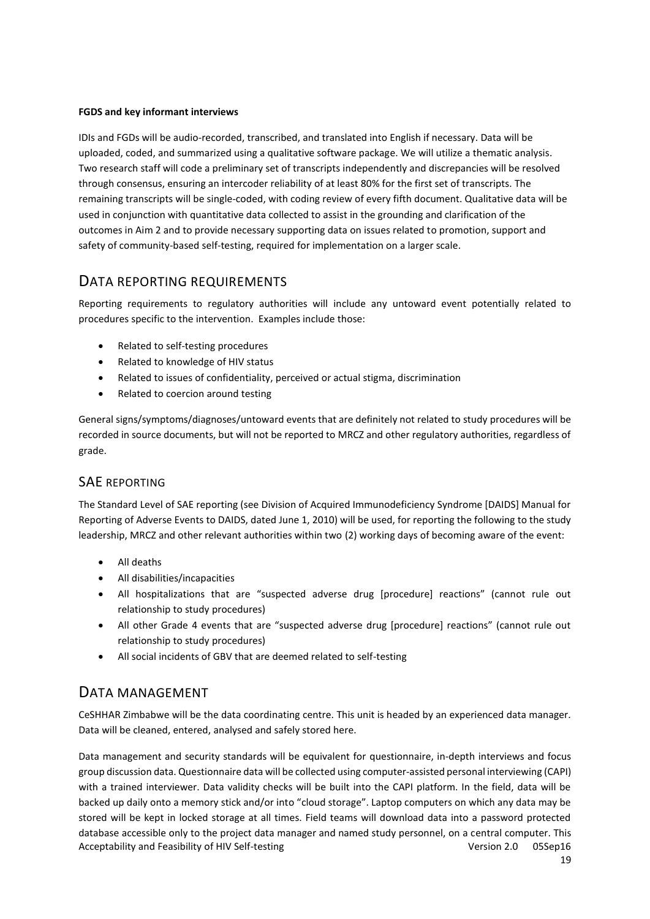### **FGDS and key informant interviews**

IDIs and FGDs will be audio-recorded, transcribed, and translated into English if necessary. Data will be uploaded, coded, and summarized using a qualitative software package. We will utilize a thematic analysis. Two research staff will code a preliminary set of transcripts independently and discrepancies will be resolved through consensus, ensuring an intercoder reliability of at least 80% for the first set of transcripts. The remaining transcripts will be single-coded, with coding review of every fifth document. Qualitative data will be used in conjunction with quantitative data collected to assist in the grounding and clarification of the outcomes in Aim 2 and to provide necessary supporting data on issues related to promotion, support and safety of community-based self-testing, required for implementation on a larger scale.

# DATA REPORTING REQUIREMENTS

Reporting requirements to regulatory authorities will include any untoward event potentially related to procedures specific to the intervention. Examples include those:

- Related to self-testing procedures
- Related to knowledge of HIV status
- Related to issues of confidentiality, perceived or actual stigma, discrimination
- Related to coercion around testing

General signs/symptoms/diagnoses/untoward events that are definitely not related to study procedures will be recorded in source documents, but will not be reported to MRCZ and other regulatory authorities, regardless of grade.

# SAE REPORTING

The Standard Level of SAE reporting (see Division of Acquired Immunodeficiency Syndrome [DAIDS] Manual for Reporting of Adverse Events to DAIDS, dated June 1, 2010) will be used, for reporting the following to the study leadership, MRCZ and other relevant authorities within two (2) working days of becoming aware of the event:

- All deaths
- All disabilities/incapacities
- All hospitalizations that are "suspected adverse drug [procedure] reactions" (cannot rule out relationship to study procedures)
- All other Grade 4 events that are "suspected adverse drug [procedure] reactions" (cannot rule out relationship to study procedures)
- All social incidents of GBV that are deemed related to self-testing

# DATA MANAGEMENT

CeSHHAR Zimbabwe will be the data coordinating centre. This unit is headed by an experienced data manager. Data will be cleaned, entered, analysed and safely stored here.

Acceptability and Feasibility of HIV Self-testing Version 2.0 05Sep16 Data management and security standards will be equivalent for questionnaire, in-depth interviews and focus group discussion data. Questionnaire data will be collected using computer-assisted personal interviewing (CAPI) with a trained interviewer. Data validity checks will be built into the CAPI platform. In the field, data will be backed up daily onto a memory stick and/or into "cloud storage". Laptop computers on which any data may be stored will be kept in locked storage at all times. Field teams will download data into a password protected database accessible only to the project data manager and named study personnel, on a central computer. This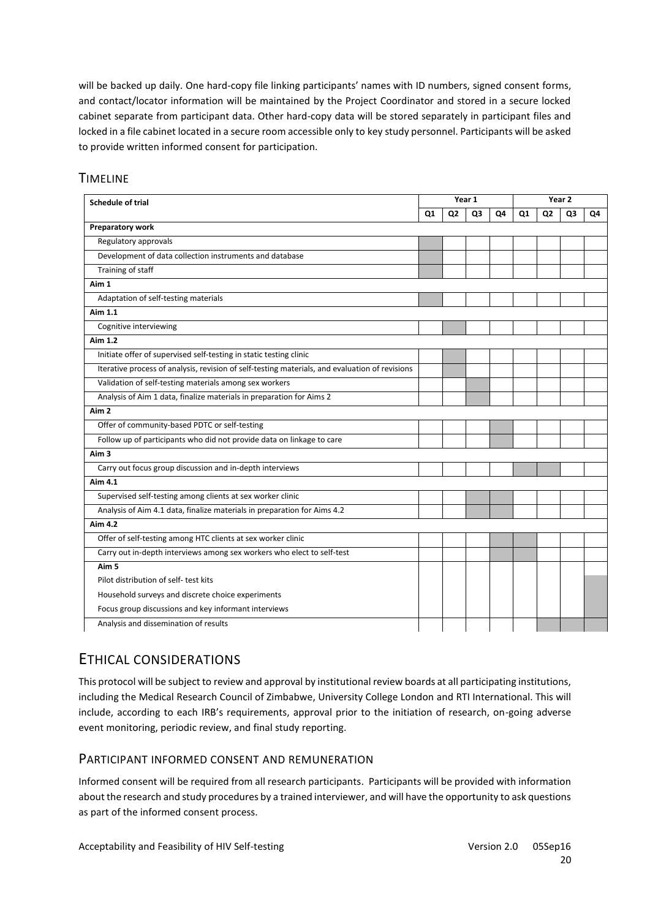will be backed up daily. One hard-copy file linking participants' names with ID numbers, signed consent forms, and contact/locator information will be maintained by the Project Coordinator and stored in a secure locked cabinet separate from participant data. Other hard-copy data will be stored separately in participant files and locked in a file cabinet located in a secure room accessible only to key study personnel. Participants will be asked to provide written informed consent for participation.

| <b>Schedule of trial</b>                                                                       |                | Year 1         |    |    | Year <sub>2</sub> |                |    |    |
|------------------------------------------------------------------------------------------------|----------------|----------------|----|----|-------------------|----------------|----|----|
|                                                                                                | Q <sub>1</sub> | Q <sub>2</sub> | Q3 | Q4 | Q1                | Q <sub>2</sub> | Q3 | Q4 |
| Preparatory work                                                                               |                |                |    |    |                   |                |    |    |
| Regulatory approvals                                                                           |                |                |    |    |                   |                |    |    |
| Development of data collection instruments and database                                        |                |                |    |    |                   |                |    |    |
| Training of staff                                                                              |                |                |    |    |                   |                |    |    |
| Aim 1                                                                                          |                |                |    |    |                   |                |    |    |
| Adaptation of self-testing materials                                                           |                |                |    |    |                   |                |    |    |
| Aim 1.1                                                                                        |                |                |    |    |                   |                |    |    |
| Cognitive interviewing                                                                         |                |                |    |    |                   |                |    |    |
| Aim 1.2                                                                                        |                |                |    |    |                   |                |    |    |
| Initiate offer of supervised self-testing in static testing clinic                             |                |                |    |    |                   |                |    |    |
| Iterative process of analysis, revision of self-testing materials, and evaluation of revisions |                |                |    |    |                   |                |    |    |
| Validation of self-testing materials among sex workers                                         |                |                |    |    |                   |                |    |    |
| Analysis of Aim 1 data, finalize materials in preparation for Aims 2                           |                |                |    |    |                   |                |    |    |
| Aim <sub>2</sub>                                                                               |                |                |    |    |                   |                |    |    |
| Offer of community-based PDTC or self-testing                                                  |                |                |    |    |                   |                |    |    |
| Follow up of participants who did not provide data on linkage to care                          |                |                |    |    |                   |                |    |    |
| Aim 3                                                                                          |                |                |    |    |                   |                |    |    |
| Carry out focus group discussion and in-depth interviews                                       |                |                |    |    |                   |                |    |    |
| Aim 4.1                                                                                        |                |                |    |    |                   |                |    |    |
| Supervised self-testing among clients at sex worker clinic                                     |                |                |    |    |                   |                |    |    |
| Analysis of Aim 4.1 data, finalize materials in preparation for Aims 4.2                       |                |                |    |    |                   |                |    |    |
| Aim 4.2                                                                                        |                |                |    |    |                   |                |    |    |
| Offer of self-testing among HTC clients at sex worker clinic                                   |                |                |    |    |                   |                |    |    |
| Carry out in-depth interviews among sex workers who elect to self-test                         |                |                |    |    |                   |                |    |    |
| Aim <sub>5</sub>                                                                               |                |                |    |    |                   |                |    |    |
| Pilot distribution of self- test kits                                                          |                |                |    |    |                   |                |    |    |
| Household surveys and discrete choice experiments                                              |                |                |    |    |                   |                |    |    |
| Focus group discussions and key informant interviews                                           |                |                |    |    |                   |                |    |    |
| Analysis and dissemination of results                                                          |                |                |    |    |                   |                |    |    |

# **TIMELINE**

# ETHICAL CONSIDERATIONS

This protocol will be subject to review and approval by institutional review boards at all participating institutions, including the Medical Research Council of Zimbabwe, University College London and RTI International. This will include, according to each IRB's requirements, approval prior to the initiation of research, on-going adverse event monitoring, periodic review, and final study reporting.

# PARTICIPANT INFORMED CONSENT AND REMUNERATION

Informed consent will be required from all research participants. Participants will be provided with information about the research and study procedures by a trained interviewer, and will have the opportunity to ask questions as part of the informed consent process.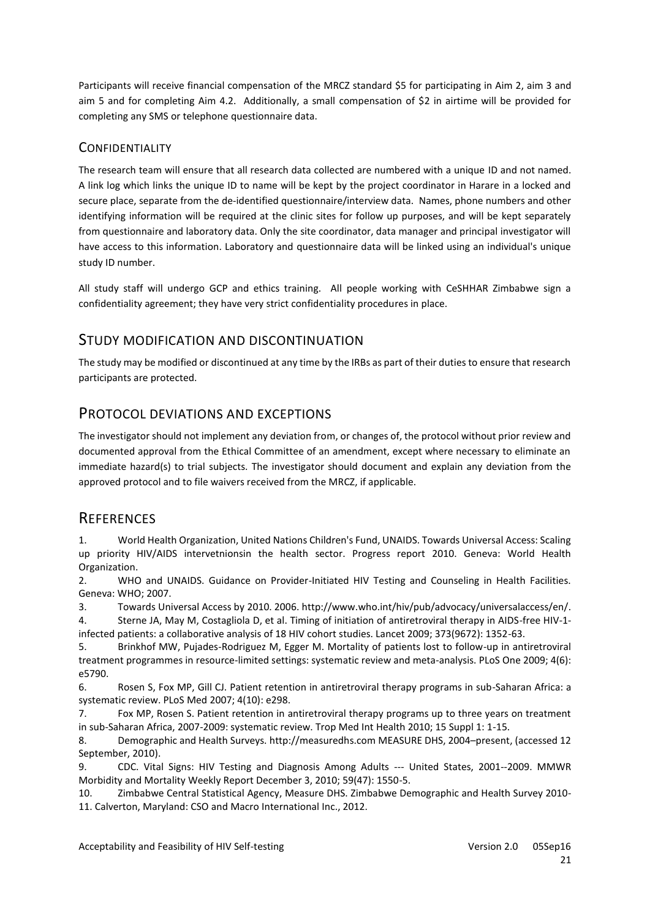Participants will receive financial compensation of the MRCZ standard \$5 for participating in Aim 2, aim 3 and aim 5 and for completing Aim 4.2. Additionally, a small compensation of \$2 in airtime will be provided for completing any SMS or telephone questionnaire data.

# **CONFIDENTIALITY**

The research team will ensure that all research data collected are numbered with a unique ID and not named. A link log which links the unique ID to name will be kept by the project coordinator in Harare in a locked and secure place, separate from the de-identified questionnaire/interview data. Names, phone numbers and other identifying information will be required at the clinic sites for follow up purposes, and will be kept separately from questionnaire and laboratory data. Only the site coordinator, data manager and principal investigator will have access to this information. Laboratory and questionnaire data will be linked using an individual's unique study ID number.

All study staff will undergo GCP and ethics training. All people working with CeSHHAR Zimbabwe sign a confidentiality agreement; they have very strict confidentiality procedures in place.

# STUDY MODIFICATION AND DISCONTINUATION

The study may be modified or discontinued at any time by the IRBs as part of their duties to ensure that research participants are protected.

# PROTOCOL DEVIATIONS AND EXCEPTIONS

The investigator should not implement any deviation from, or changes of, the protocol without prior review and documented approval from the Ethical Committee of an amendment, except where necessary to eliminate an immediate hazard(s) to trial subjects. The investigator should document and explain any deviation from the approved protocol and to file waivers received from the MRCZ, if applicable.

# **REFERENCES**

<span id="page-20-0"></span>1. World Health Organization, United Nations Children's Fund, UNAIDS. Towards Universal Access: Scaling up priority HIV/AIDS intervetnionsin the health sector. Progress report 2010. Geneva: World Health Organization.

2. WHO and UNAIDS. Guidance on Provider-Initiated HIV Testing and Counseling in Health Facilities. Geneva: WHO; 2007.

3. Towards Universal Access by 2010. 2006[. http://www.who.int/hiv/pub/advocacy/universalaccess/en/.](http://www.who.int/hiv/pub/advocacy/universalaccess/en/)

<span id="page-20-1"></span>4. Sterne JA, May M, Costagliola D, et al. Timing of initiation of antiretroviral therapy in AIDS-free HIV-1 infected patients: a collaborative analysis of 18 HIV cohort studies. Lancet 2009; 373(9672): 1352-63.

5. Brinkhof MW, Pujades-Rodriguez M, Egger M. Mortality of patients lost to follow-up in antiretroviral treatment programmes in resource-limited settings: systematic review and meta-analysis. PLoS One 2009; 4(6): e5790.

6. Rosen S, Fox MP, Gill CJ. Patient retention in antiretroviral therapy programs in sub-Saharan Africa: a systematic review. PLoS Med 2007; 4(10): e298.

7. Fox MP, Rosen S. Patient retention in antiretroviral therapy programs up to three years on treatment in sub-Saharan Africa, 2007-2009: systematic review. Trop Med Int Health 2010; 15 Suppl 1: 1-15.

<span id="page-20-2"></span>8. Demographic and Health Surveys. [http://measuredhs.com](http://measuredhs.com/) MEASURE DHS, 2004–present, (accessed 12 September, 2010).

<span id="page-20-3"></span>9. CDC. Vital Signs: HIV Testing and Diagnosis Among Adults --- United States, 2001--2009. MMWR Morbidity and Mortality Weekly Report December 3, 2010; 59(47): 1550-5.

<span id="page-20-4"></span>10. Zimbabwe Central Statistical Agency, Measure DHS. Zimbabwe Demographic and Health Survey 2010- 11. Calverton, Maryland: CSO and Macro International Inc., 2012.